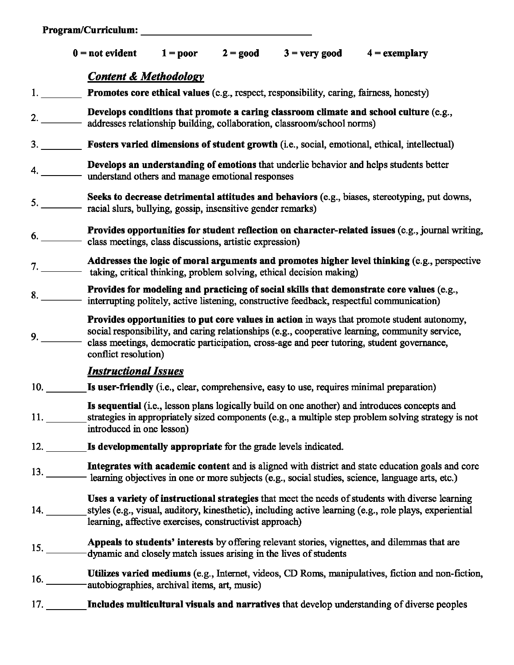|                  |                                                                                                                                                                                                                                                                                                                     |  |  | $0 = not evident$ 1 = poor 2 = good 3 = very good 4 = exemplary |  |
|------------------|---------------------------------------------------------------------------------------------------------------------------------------------------------------------------------------------------------------------------------------------------------------------------------------------------------------------|--|--|-----------------------------------------------------------------|--|
|                  | <b>Content &amp; Methodology</b>                                                                                                                                                                                                                                                                                    |  |  |                                                                 |  |
| $1 \quad \qquad$ | Promotes core ethical values (e.g., respect, responsibility, caring, fairness, honesty)                                                                                                                                                                                                                             |  |  |                                                                 |  |
|                  | Develops conditions that promote a caring classroom climate and school culture (e.g.,<br>2. Levelys continues can receive the distribution classroom/school norms)                                                                                                                                                  |  |  |                                                                 |  |
|                  | 3. Fosters varied dimensions of student growth (i.e., social, emotional, ethical, intellectual)                                                                                                                                                                                                                     |  |  |                                                                 |  |
|                  | Develops an understanding of emotions that underlie behavior and helps students better<br>4. Develops an university of the problem of the understand others and manage emotional responses                                                                                                                          |  |  |                                                                 |  |
|                  | Seeks to decrease detrimental attitudes and behaviors (e.g., biases, stereotyping, put downs,<br>5. The Breaks to the contract of the contract of the racial slurs, bullying, gossip, insensitive gender remarks)                                                                                                   |  |  |                                                                 |  |
|                  | Provides opportunities for student reflection on character-related issues (e.g., journal writing,<br>6. <b>EXECUTE OF PROPERTIES</b> , class discussions, artistic expression)                                                                                                                                      |  |  |                                                                 |  |
| $7 -$            | Addresses the logic of moral arguments and promotes higher level thinking (e.g., perspective<br>taking, critical thinking, problem solving, ethical decision making)                                                                                                                                                |  |  |                                                                 |  |
|                  | Provides for modeling and practicing of social skills that demonstrate core values (e.g.,<br>8. Provides for modeling and practicing of social states in the interrupting politely, active listening, constructive feedback, respectful communication)                                                              |  |  |                                                                 |  |
| 9.               | Provides opportunities to put core values in action in ways that promote student autonomy,<br>social responsibility, and caring relationships (e.g., cooperative learning, community service,<br>class meetings, democratic participation, cross-age and peer tutoring, student governance,<br>conflict resolution) |  |  |                                                                 |  |
|                  | <b>Instructional Issues</b>                                                                                                                                                                                                                                                                                         |  |  |                                                                 |  |
|                  | 10. Is user-friendly (i.e., clear, comprehensive, easy to use, requires minimal preparation)                                                                                                                                                                                                                        |  |  |                                                                 |  |
| 11.              | Is sequential (i.e., lesson plans logically build on one another) and introduces concepts and<br>strategies in appropriately sized components (e.g., a multiple step problem solving strategy is not<br>introduced in one lesson)                                                                                   |  |  |                                                                 |  |
|                  | 12. Is developmentally appropriate for the grade levels indicated.                                                                                                                                                                                                                                                  |  |  |                                                                 |  |
|                  | Integrates with academic content and is aligned with district and state education goals and core<br>Integrates with academic content and is angles with the set of the learning objectives in one or more subjects (e.g., social studies, science, language arts, etc.)                                             |  |  |                                                                 |  |
| 14.              | Uses a variety of instructional strategies that meet the needs of students with diverse learning<br>styles (e.g., visual, auditory, kinesthetic), including active learning (e.g., role plays, experiential<br>learning, affective exercises, constructivist approach)                                              |  |  |                                                                 |  |
| 15.              | Appeals to students' interests by offering relevant stories, vignettes, and dilemmas that are<br>dynamic and closely match issues arising in the lives of students                                                                                                                                                  |  |  |                                                                 |  |
|                  | Utilizes varied mediums (e.g., Internet, videos, CD Roms, manipulatives, fiction and non-fiction,<br>16. ULLES VALLA model is a chival items, art, music)                                                                                                                                                           |  |  |                                                                 |  |
| 17.              | Includes multicultural visuals and narratives that develop understanding of diverse peoples                                                                                                                                                                                                                         |  |  |                                                                 |  |